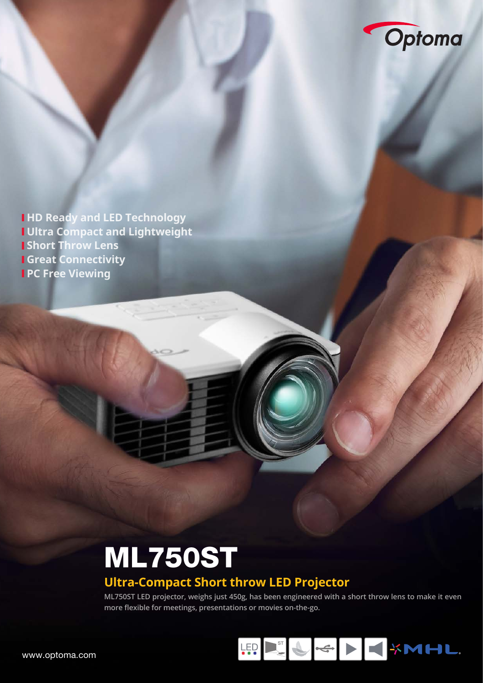

Give presentations and view Microsoft Office and Adobe PDF files directly from your projector, without the need of

 **Media Player & Native Office Viewer**

a laptop or PC using the built-in media player. Simply copy your documents, in a microSD card, USB memory stick or the internal memory and display the internal memory and display them on

\*Microsoft Office powerpoint animations are not supported. MicroSD card and

With instant power on the ML750ST is a second leader of the ML750ST is a second technology, the ML750ST is a second primed for instant plug-and-play viewing on the move.

USB memory stick not include the supports SDHC up to 64GB.

**01.** Micro SD card slot **02.** USB Type Ax1

**die HD Ready and LED Technology Ultra Compact and Lightweight Short Throw Lens Great Connectivity PC Free Viewing** \*Connection to some devices may require additional cables and adapters, available separately.

 **HDCast Pro - wireless presenting (optional)** 

document camera for a more collaborative experience.

Present wirelessly from your mobile device or laptop using the optional wireless USB adapter and free HDCast Pro app. Available on Android, iOS,  $W_{\rm{max}}$  and  $W_{\rm{max}}$  and  $W_{\rm{max}}$  and  $W_{\rm{max}}$ stream videos, photos, audio and documents. The App also allows you annotate over files, view webpages and use the camera on your device as a

Images can be projected over a full  $360^{\circ}$ 

projector will be fully operational for many years to come.

reducing shadows so you can present with ease.

ML750ST is using individual red, green and blue LED modules to control the control of with the need for a color wheel. illumination provides consistent brightness and color performance with increased efficiency to maintain its out-of-the-box image quality. And the extraordinary life of LEDs (up to 20,000

With a short throw lens, you can project an impressive 100" image from just over a metre away. This allows you to place the projector closer to the wall,

bright. Saving you both time and money; while leaving you certain that your

 **Short Throw** 

 **LED Technology**

#### **Ultra-Compact Short throw LED Projector PERFECT FOR BUSINESS PRESENT** the LED powers and  $\mathbf{L}$  and  $\mathbf{L}$  and  $\mathbf{L}$  and  $\mathbf{L}$  and  $\mathbf{L}$  and  $\mathbf{L}$  and  $\mathbf{L}$ saturation and outstanding brightness to produce intense yet accurate colors, achieving the Rec709 standard.

ML750ST LED projector, weighs just 450g, has been engineered with a short throw lens to make it even **more flexible for meetings, presentations or movies on-the-go.** 



**03 04 05 06**

**Specification ML750ST**

WXGA (1280 x 800)

**RGB RGBB** 

20,000:1 (Full ON/Full OFF) Fixed lens & Manual focus

0.43~3.44m / about 1m@60"

Home value of the state of the state

Texas Instrument DLP Technology and DLP Technology and DLP Technology and DLP Technology

≥ 20,000 hours (Full power operation)

Vertical ± 40% auto/manual adjustment

 $\epsilon$  GB (access by option USB cable)

**Display Technology Native Resolution Brightness Contrast Ratio Lens Type Light Source LED Life Projection Distance Throw Ratio Offset**

 **360° Projection**

ing reproduction on a ceiling or floor.